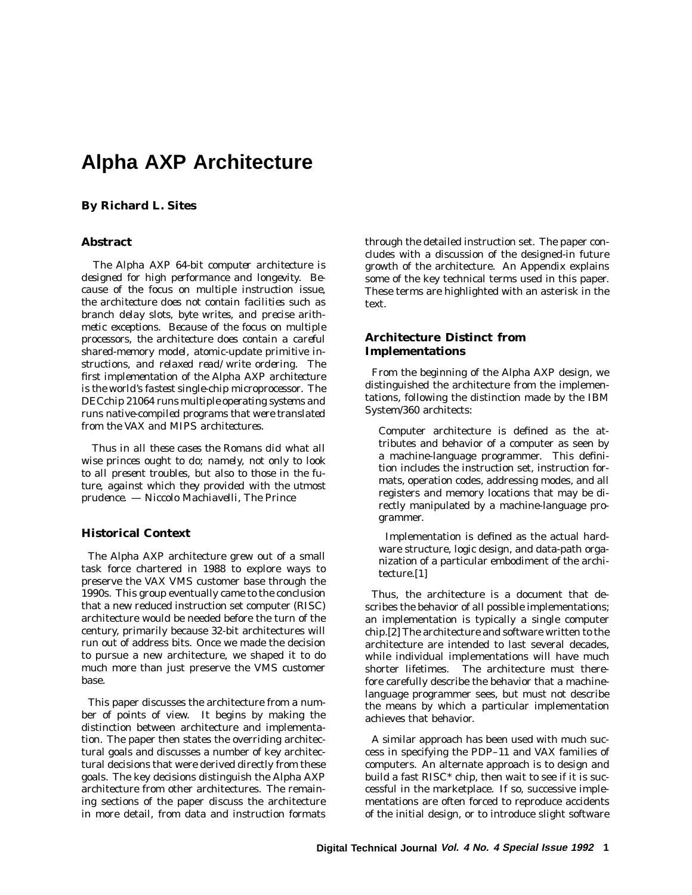# **Alpha AXP Architecture**

# **By Richard L. Sites**

## **Abstract**

*The Alpha AXP 64-bit computer architecture is designed for high performance and longevity. Because of the focus on multiple instruction issue, the architecture does not contain facilities such as branch delay slots, byte writes, and precise arithmetic exceptions. Because of the focus on multiple processors, the architecture does contain a careful shared-memory model, atomic-update primitive instructions, and relaxed read/write ordering. The first implementation of the Alpha AXP architecture is the world's fastest single-chip microprocessor. The DECchip 21064 runs multiple operating systems and runs native-compiled programs that were translated from the VAX and MIPS architectures.*

*Thus in all these cases the Romans did what all wise princes ought to do; namely, not only to look to all present troubles, but also to those in the future, against which they provided with the utmost prudence. — Niccolo Machiavelli, The Prince*

### **Historical Context**

The Alpha AXP architecture grew out of a small task force chartered in 1988 to explore ways to preserve the VAX VMS customer base through the 1990s. This group eventually came to the conclusion that a new reduced instruction set computer (RISC) architecture would be needed before the turn of the century, primarily because 32-bit architectures will run out of address bits. Once we made the decision to pursue a new architecture, we shaped it to do much more than just preserve the VMS customer base.

This paper discusses the architecture from a number of points of view. It begins by making the distinction between architecture and implementation. The paper then states the overriding architectural goals and discusses a number of key architectural decisions that were derived directly from these goals. The key decisions distinguish the Alpha AXP architecture from other architectures. The remaining sections of the paper discuss the architecture in more detail, from data and instruction formats through the detailed instruction set. The paper concludes with a discussion of the designed-in future growth of the architecture. An Appendix explains some of the key technical terms used in this paper. These terms are highlighted with an asterisk in the text.

# **Architecture Distinct from Implementations**

From the beginning of the Alpha AXP design, we distinguished the architecture from the implementations, following the distinction made by the IBM System/360 architects:

Computer architecture is defined as the attributes and behavior of a computer as seen by a machine-language programmer. This definition includes the instruction set, instruction formats, operation codes, addressing modes, and all registers and memory locations that may be directly manipulated by a machine-language programmer.

Implementation is defined as the actual hardware structure, logic design, and data-path organization of a particular embodiment of the architecture.[1]

Thus, the architecture is a document that describes the behavior of all possible implementations; an implementation is typically a single computer chip.[2] The architecture and software written to the architecture are intended to last several decades, while individual implementations will have much shorter lifetimes. The architecture must there-The architecture must therefore carefully describe the behavior that a machinelanguage programmer sees, but must not describe the means by which a particular implementation achieves that behavior.

A similar approach has been used with much success in specifying the PDP–11 and VAX families of computers. An alternate approach is to design and build a fast RISC\* chip, then wait to see if it is successful in the marketplace. If so, successive implementations are often forced to reproduce accidents of the initial design, or to introduce slight software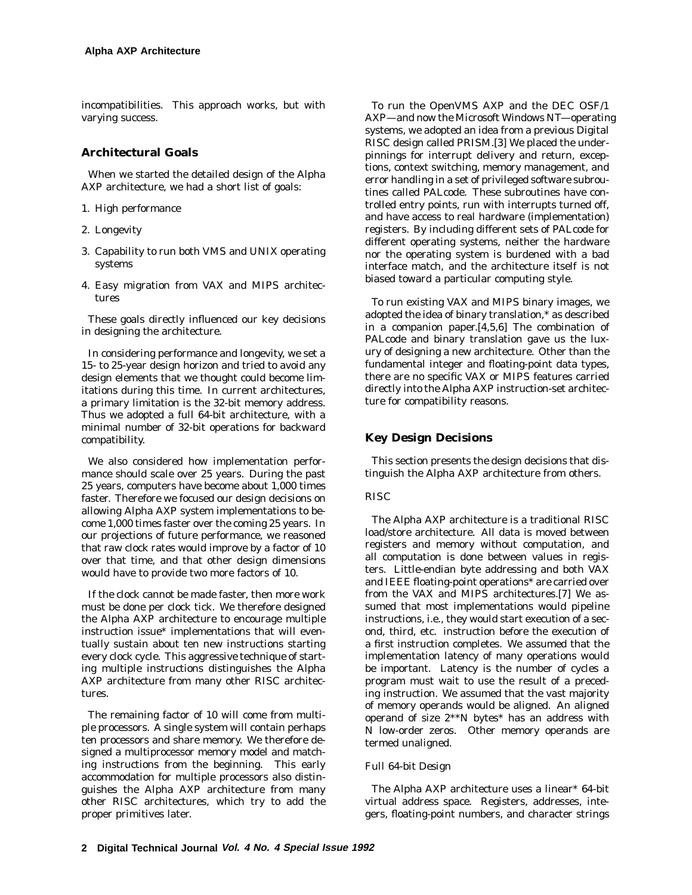incompatibilities. This approach works, but with varying success.

# **Architectural Goals**

When we started the detailed design of the Alpha AXP architecture, we had a short list of goals:

- 1. High performance
- 2. Longevity
- 3. Capability to run both VMS and UNIX operating systems
- 4. Easy migration from VAX and MIPS architectures

These goals directly influenced our key decisions in designing the architecture.

In considering performance and longevity, we set a 15- to 25-year design horizon and tried to avoid any design elements that we thought could become limitations during this time. In current architectures, a primary limitation is the 32-bit memory address. Thus we adopted a full 64-bit architecture, with a minimal number of 32-bit operations for backward compatibility.

We also considered how implementation performance should scale over 25 years. During the past 25 years, computers have become about 1,000 times faster. Therefore we focused our design decisions on allowing Alpha AXP system implementations to become 1,000 times faster over the coming 25 years. In our projections of future performance, we reasoned that raw clock rates would improve by a factor of 10 over that time, and that other design dimensions would have to provide two more factors of 10.

If the clock cannot be made faster, then more work must be done per clock tick. We therefore designed the Alpha AXP architecture to encourage multiple instruction issue\* implementations that will eventually sustain about ten new instructions starting every clock cycle. This aggressive technique of starting multiple instructions distinguishes the Alpha AXP architecture from many other RISC architectures.

The remaining factor of 10 will come from multiple processors. A single system will contain perhaps ten processors and share memory. We therefore designed a multiprocessor memory model and matching instructions from the beginning. This early accommodation for multiple processors also distinguishes the Alpha AXP architecture from many other RISC architectures, which try to add the proper primitives later.

To run the OpenVMS AXP and the DEC OSF/1 AXP—and now the Microsoft Windows NT—operating systems, we adopted an idea from a previous Digital RISC design called PRISM.[3] We placed the underpinnings for interrupt delivery and return, exceptions, context switching, memory management, and error handling in a set of privileged software subroutines called PALcode. These subroutines have controlled entry points, run with interrupts turned off, and have access to real hardware (implementation) registers. By including different sets of PALcode for different operating systems, neither the hardware nor the operating system is burdened with a bad interface match, and the architecture itself is not biased toward a particular computing style.

To run existing VAX and MIPS binary images, we adopted the idea of binary translation,\* as described in a companion paper.[4,5,6] The combination of PALcode and binary translation gave us the luxury of designing a new architecture. Other than the fundamental integer and floating-point data types, there are no specific VAX or MIPS features carried directly into the Alpha AXP instruction-set architecture for compatibility reasons.

# **Key Design Decisions**

This section presents the design decisions that distinguish the Alpha AXP architecture from others.

## *RISC*

The Alpha AXP architecture is a traditional RISC load/store architecture. All data is moved between registers and memory without computation, and all computation is done between values in registers. Little-endian byte addressing and both VAX and IEEE floating-point operations\* are carried over from the VAX and MIPS architectures.[7] We assumed that most implementations would pipeline instructions, i.e., they would start execution of a second, third, etc. instruction before the execution of a first instruction completes. We assumed that the implementation latency of many operations would be important. Latency is the number of cycles a program must wait to use the result of a preceding instruction. We assumed that the vast majority of memory operands would be aligned. An aligned operand of size 2\*\**N* bytes\* has an address with *N* low-order zeros. Other memory operands are termed unaligned.

## *Full 64-bit Design*

The Alpha AXP architecture uses a linear\* 64-bit virtual address space. Registers, addresses, integers, floating-point numbers, and character strings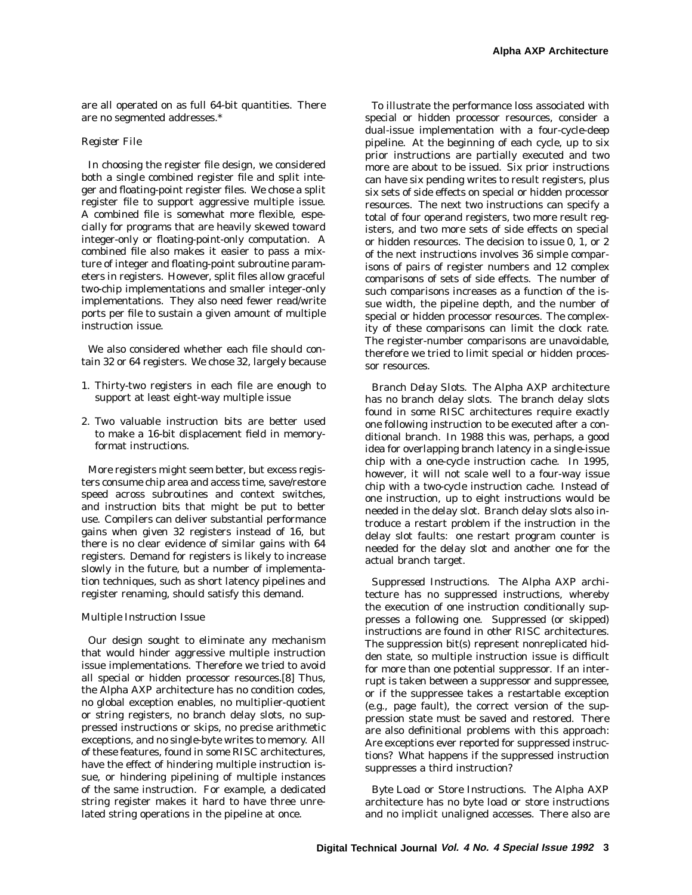are all operated on as full 64-bit quantities. There are no segmented addresses.\*

#### *Register File*

In choosing the register file design, we considered both a single combined register file and split integer and floating-point register files. We chose a split register file to support aggressive multiple issue. A combined file is somewhat more flexible, especially for programs that are heavily skewed toward integer-only or floating-point-only computation. A combined file also makes it easier to pass a mixture of integer and floating-point subroutine parameters in registers. However, split files allow graceful two-chip implementations and smaller integer-only implementations. They also need fewer read/write ports per file to sustain a given amount of multiple instruction issue.

We also considered whether each file should contain 32 or 64 registers. We chose 32, largely because

- 1. Thirty-two registers in each file are enough to support at least eight-way multiple issue
- 2. Two valuable instruction bits are better used to make a 16-bit displacement field in memoryformat instructions.

More registers might seem better, but excess registers consume chip area and access time, save/restore speed across subroutines and context switches, and instruction bits that might be put to better use. Compilers can deliver substantial performance gains when given 32 registers instead of 16, but there is no clear evidence of similar gains with 64 registers. Demand for registers is likely to increase slowly in the future, but a number of implementation techniques, such as short latency pipelines and register renaming, should satisfy this demand.

#### *Multiple Instruction Issue*

Our design sought to eliminate any mechanism that would hinder aggressive multiple instruction issue implementations. Therefore we tried to avoid all special or hidden processor resources.[8] Thus, the Alpha AXP architecture has no condition codes, no global exception enables, no multiplier-quotient or string registers, no branch delay slots, no suppressed instructions or skips, no precise arithmetic exceptions, and no single-byte writes to memory. All of these features, found in some RISC architectures, have the effect of hindering multiple instruction issue, or hindering pipelining of multiple instances of the same instruction. For example, a dedicated string register makes it hard to have three unrelated string operations in the pipeline at once.

To illustrate the performance loss associated with special or hidden processor resources, consider a dual-issue implementation with a four-cycle-deep pipeline. At the beginning of each cycle, up to six prior instructions are partially executed and two more are about to be issued. Six prior instructions can have six pending writes to result registers, plus six sets of side effects on special or hidden processor resources. The next two instructions can specify a total of four operand registers, two more result registers, and two more sets of side effects on special or hidden resources. The decision to issue 0, 1, or 2 of the next instructions involves 36 simple comparisons of pairs of register numbers and 12 complex comparisons of sets of side effects. The number of such comparisons increases as a function of the issue width, the pipeline depth, and the number of special or hidden processor resources. The complexity of these comparisons can limit the clock rate. The register-number comparisons are unavoidable, therefore we tried to limit special or hidden processor resources.

*Branch Delay Slots.* The Alpha AXP architecture has no branch delay slots. The branch delay slots found in some RISC architectures require exactly one following instruction to be executed after a conditional branch. In 1988 this was, perhaps, a good idea for overlapping branch latency in a single-issue chip with a one-cycle instruction cache. In 1995, however, it will not scale well to a four-way issue chip with a two-cycle instruction cache. Instead of one instruction, up to eight instructions would be needed in the delay slot. Branch delay slots also introduce a restart problem if the instruction in the delay slot faults: one restart program counter is needed for the delay slot and another one for the actual branch target.

*Suppressed Instructions.* The Alpha AXP architecture has no suppressed instructions, whereby the execution of one instruction conditionally suppresses a following one. Suppressed (or skipped) instructions are found in other RISC architectures. The suppression bit(s) represent nonreplicated hidden state, so multiple instruction issue is difficult for more than one potential suppressor. If an interrupt is taken between a suppressor and suppressee, or if the suppressee takes a restartable exception (e.g., page fault), the correct version of the suppression state must be saved and restored. There are also definitional problems with this approach: Are exceptions ever reported for suppressed instructions? What happens if the suppressed instruction suppresses a third instruction?

*Byte Load or Store Instructions.* The Alpha AXP architecture has no byte load or store instructions and no implicit unaligned accesses. There also are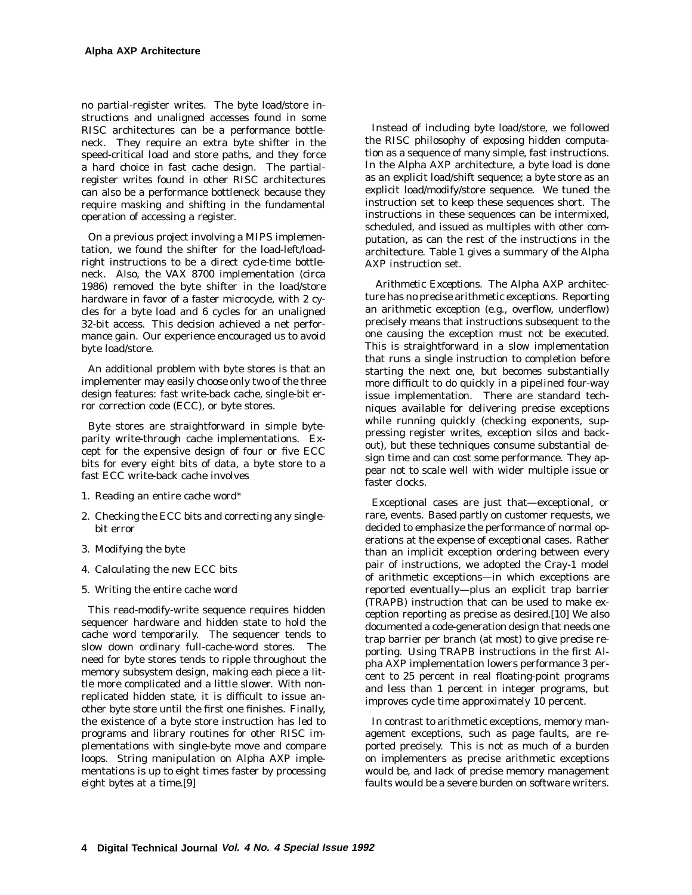no partial-register writes. The byte load/store instructions and unaligned accesses found in some RISC architectures can be a performance bottleneck. They require an extra byte shifter in the speed-critical load and store paths, and they force a hard choice in fast cache design. The partialregister writes found in other RISC architectures can also be a performance bottleneck because they require masking and shifting in the fundamental operation of accessing a register.

On a previous project involving a MIPS implementation, we found the shifter for the load-left/loadright instructions to be a direct cycle-time bottleneck. Also, the VAX 8700 implementation (circa 1986) removed the byte shifter in the load/store hardware in favor of a faster microcycle, with 2 cycles for a byte load and 6 cycles for an unaligned 32-bit access. This decision achieved a net performance gain. Our experience encouraged us to avoid byte load/store.

An additional problem with byte stores is that an implementer may easily choose only two of the three design features: fast write-back cache, single-bit error correction code (ECC), or byte stores.

Byte stores are straightforward in simple byteparity write-through cache implementations. Except for the expensive design of four or five ECC bits for every eight bits of data, a byte store to a fast ECC write-back cache involves

- 1. Reading an entire cache word\*
- 2. Checking the ECC bits and correcting any singlebit error
- 3. Modifying the byte
- 4. Calculating the new ECC bits
- 5. Writing the entire cache word

This read-modify-write sequence requires hidden sequencer hardware and hidden state to hold the cache word temporarily. The sequencer tends to slow down ordinary full-cache-word stores. The need for byte stores tends to ripple throughout the memory subsystem design, making each piece a little more complicated and a little slower. With nonreplicated hidden state, it is difficult to issue another byte store until the first one finishes. Finally, the existence of a byte store instruction has led to programs and library routines for other RISC implementations with single-byte move and compare loops. String manipulation on Alpha AXP implementations is up to eight times faster by processing eight bytes at a time.[9]

Instead of including byte load/store, we followed the RISC philosophy of exposing hidden computation as a sequence of many simple, fast instructions. In the Alpha AXP architecture, a byte load is done as an explicit load/shift sequence; a byte store as an explicit load/modify/store sequence. We tuned the instruction set to keep these sequences short. The instructions in these sequences can be intermixed, scheduled, and issued as multiples with other computation, as can the rest of the instructions in the architecture. Table 1 gives a summary of the Alpha AXP instruction set.

*Arithmetic Exceptions.* The Alpha AXP architecture has no precise arithmetic exceptions. Reporting an arithmetic exception (e.g., overflow, underflow) precisely means that instructions subsequent to the one causing the exception must not be executed. This is straightforward in a slow implementation that runs a single instruction to completion before starting the next one, but becomes substantially more difficult to do quickly in a pipelined four-way issue implementation. There are standard techniques available for delivering precise exceptions while running quickly (checking exponents, suppressing register writes, exception silos and backout), but these techniques consume substantial design time and can cost some performance. They appear not to scale well with wider multiple issue or faster clocks.

Exceptional cases are just that—exceptional, or rare, events. Based partly on customer requests, we decided to emphasize the performance of normal operations at the expense of exceptional cases. Rather than an implicit exception ordering between every pair of instructions, we adopted the Cray-1 model of arithmetic exceptions—in which exceptions are reported eventually—plus an explicit trap barrier (TRAPB) instruction that can be used to make exception reporting as precise as desired.[10] We also documented a code-generation design that needs one trap barrier per branch (at most) to give precise reporting. Using TRAPB instructions in the first Alpha AXP implementation lowers performance 3 percent to 25 percent in real floating-point programs and less than 1 percent in integer programs, but improves cycle time approximately 10 percent.

In contrast to arithmetic exceptions, memory management exceptions, such as page faults, are reported precisely. This is not as much of a burden on implementers as precise arithmetic exceptions would be, and lack of precise memory management faults would be a severe burden on software writers.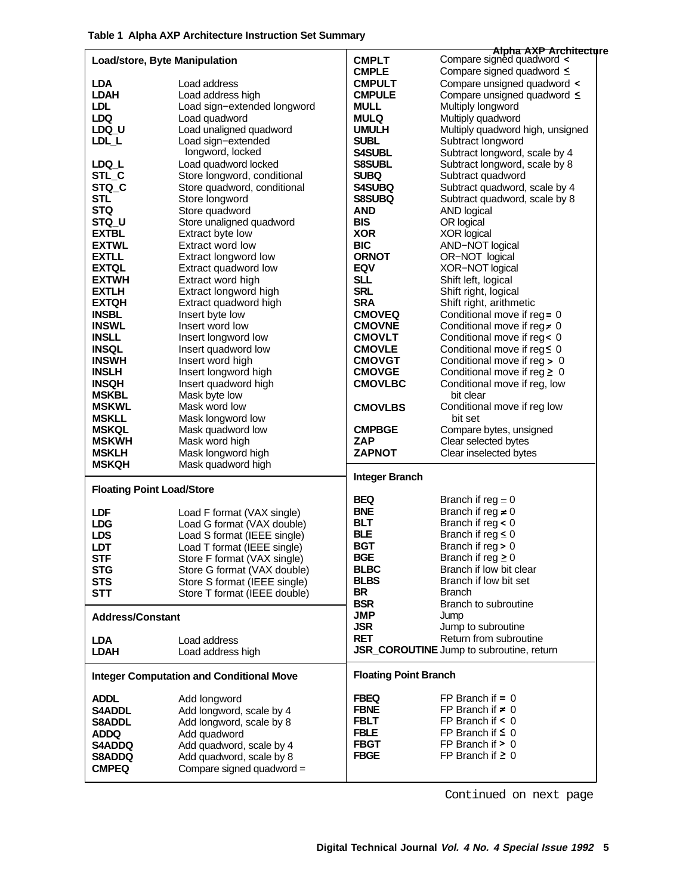|                                  |                                                 |                              | Alpha AXP Architecture                   |
|----------------------------------|-------------------------------------------------|------------------------------|------------------------------------------|
| Load/store, Byte Manipulation    |                                                 | <b>CMPLT</b>                 | Compare signed quadword <                |
|                                  |                                                 | <b>CMPLE</b>                 | Compare signed quadword ≤                |
| <b>LDA</b>                       | Load address                                    | <b>CMPULT</b>                | Compare unsigned quadword <              |
| LDAH                             | Load address high                               | <b>CMPULE</b>                | Compare unsigned quadword ≤              |
| <b>LDL</b>                       | Load sign-extended longword                     | <b>MULL</b>                  | Multiply longword                        |
| <b>LDQ</b>                       | Load quadword                                   | <b>MULQ</b>                  | Multiply quadword                        |
| LDQ U                            | Load unaligned quadword                         | <b>UMULH</b>                 | Multiply quadword high, unsigned         |
| LDL L                            | Load sign-extended                              | <b>SUBL</b>                  | Subtract longword                        |
|                                  | longword, locked                                |                              |                                          |
|                                  |                                                 | <b>S4SUBL</b>                | Subtract longword, scale by 4            |
| LDQ_L                            | Load quadword locked                            | <b>S8SUBL</b>                | Subtract longword, scale by 8            |
| STL_C                            | Store longword, conditional                     | <b>SUBQ</b>                  | Subtract quadword                        |
| STQ <sub>C</sub>                 | Store quadword, conditional                     | <b>S4SUBQ</b>                | Subtract quadword, scale by 4            |
| <b>STL</b>                       | Store longword                                  | S8SUBQ                       | Subtract quadword, scale by 8            |
| <b>STQ</b>                       | Store quadword                                  | AND                          | <b>AND logical</b>                       |
| STQ_U                            | Store unaligned quadword                        | <b>BIS</b>                   | OR logical                               |
| <b>EXTBL</b>                     | Extract byte low                                | <b>XOR</b>                   | <b>XOR logical</b>                       |
| <b>EXTWL</b>                     | Extract word low                                | <b>BIC</b>                   | AND-NOT logical                          |
| <b>EXTLL</b>                     | Extract longword low                            | <b>ORNOT</b>                 | OR-NOT logical                           |
| <b>EXTQL</b>                     | Extract quadword low                            | <b>EQV</b>                   | XOR-NOT logical                          |
| <b>EXTWH</b>                     | Extract word high                               | <b>SLL</b>                   | Shift left, logical                      |
| <b>EXTLH</b>                     | Extract longword high                           | <b>SRL</b>                   | Shift right, logical                     |
| <b>EXTQH</b>                     | Extract quadword high                           | <b>SRA</b>                   | Shift right, arithmetic                  |
|                                  |                                                 |                              |                                          |
| <b>INSBL</b>                     | Insert byte low                                 | <b>CMOVEQ</b>                | Conditional move if reg = 0              |
| <b>INSWL</b>                     | Insert word low                                 | <b>CMOVNE</b>                | Conditional move if reg $\neq 0$         |
| <b>INSLL</b>                     | Insert longword low                             | <b>CMOVLT</b>                | Conditional move if reg< 0               |
| <b>INSQL</b>                     | Insert quadword low                             | <b>CMOVLE</b>                | Conditional move if reg≤ 0               |
| <b>INSWH</b>                     | Insert word high                                | <b>CMOVGT</b>                | Conditional move if reg > 0              |
| <b>INSLH</b>                     | Insert longword high                            | <b>CMOVGE</b>                | Conditional move if $reg \geq 0$         |
| <b>INSQH</b>                     | Insert quadword high                            | <b>CMOVLBC</b>               | Conditional move if reg, low             |
| <b>MSKBL</b>                     | Mask byte low                                   |                              | bit clear                                |
| <b>MSKWL</b>                     | Mask word low                                   | <b>CMOVLBS</b>               | Conditional move if reg low              |
| <b>MSKLL</b>                     | Mask longword low                               |                              | bit set                                  |
| <b>MSKQL</b>                     | Mask quadword low                               | <b>CMPBGE</b>                | Compare bytes, unsigned                  |
| <b>MSKWH</b>                     | Mask word high                                  | ZAP                          | Clear selected bytes                     |
| <b>MSKLH</b>                     | Mask longword high                              | <b>ZAPNOT</b>                | Clear inselected bytes                   |
| <b>MSKQH</b>                     | Mask quadword high                              |                              |                                          |
|                                  |                                                 |                              |                                          |
|                                  |                                                 |                              |                                          |
|                                  |                                                 | <b>Integer Branch</b>        |                                          |
| <b>Floating Point Load/Store</b> |                                                 | BEQ                          |                                          |
|                                  |                                                 | <b>BNE</b>                   | Branch if $reg = 0$                      |
| <b>LDF</b>                       | Load F format (VAX single)                      |                              | Branch if reg $\neq 0$                   |
| <b>LDG</b>                       | Load G format (VAX double)                      | <b>BLT</b>                   | Branch if $reg < 0$                      |
| <b>LDS</b>                       | Load S format (IEEE single)                     | <b>BLE</b>                   | Branch if $reg \leq 0$                   |
| <b>LDT</b>                       | Load T format (IEEE single)                     | <b>BGT</b>                   | Branch if reg > 0                        |
| <b>STF</b>                       | Store F format (VAX single)                     | <b>BGE</b>                   | Branch if reg $\geq 0$                   |
| <b>STG</b>                       | Store G format (VAX double)                     | <b>BLBC</b>                  | Branch if low bit clear                  |
| <b>STS</b>                       | Store S format (IEEE single)                    | <b>BLBS</b>                  | Branch if low bit set                    |
| STT                              | Store T format (IEEE double)                    | BR                           | <b>Branch</b>                            |
|                                  |                                                 | <b>BSR</b>                   | Branch to subroutine                     |
| <b>Address/Constant</b>          |                                                 | <b>JMP</b>                   | Jump                                     |
|                                  |                                                 | <b>JSR</b>                   | Jump to subroutine                       |
| <b>LDA</b>                       | Load address                                    | <b>RET</b>                   | Return from subroutine                   |
| <b>LDAH</b>                      | Load address high                               |                              | JSR_COROUTINE Jump to subroutine, return |
|                                  |                                                 |                              |                                          |
|                                  | <b>Integer Computation and Conditional Move</b> | <b>Floating Point Branch</b> |                                          |
|                                  |                                                 |                              |                                          |
| <b>ADDL</b>                      | Add longword                                    | <b>FBEQ</b>                  | FP Branch if $= 0$                       |
| S4ADDL                           | Add longword, scale by 4                        | <b>FBNE</b>                  | FP Branch if $\neq 0$                    |
| <b>S8ADDL</b>                    | Add longword, scale by 8                        | <b>FBLT</b>                  | FP Branch if $\leq 0$                    |
| <b>ADDQ</b>                      | Add quadword                                    | <b>FBLE</b>                  | FP Branch if $\leq 0$                    |
| S4ADDQ                           | Add quadword, scale by 4                        | <b>FBGT</b>                  | FP Branch if $> 0$                       |
| <b>S8ADDQ</b>                    | Add quadword, scale by 8                        | <b>FBGE</b>                  | FP Branch if $\geq 0$                    |
| <b>CMPEQ</b>                     | Compare signed quadword =                       |                              |                                          |

Continued on next page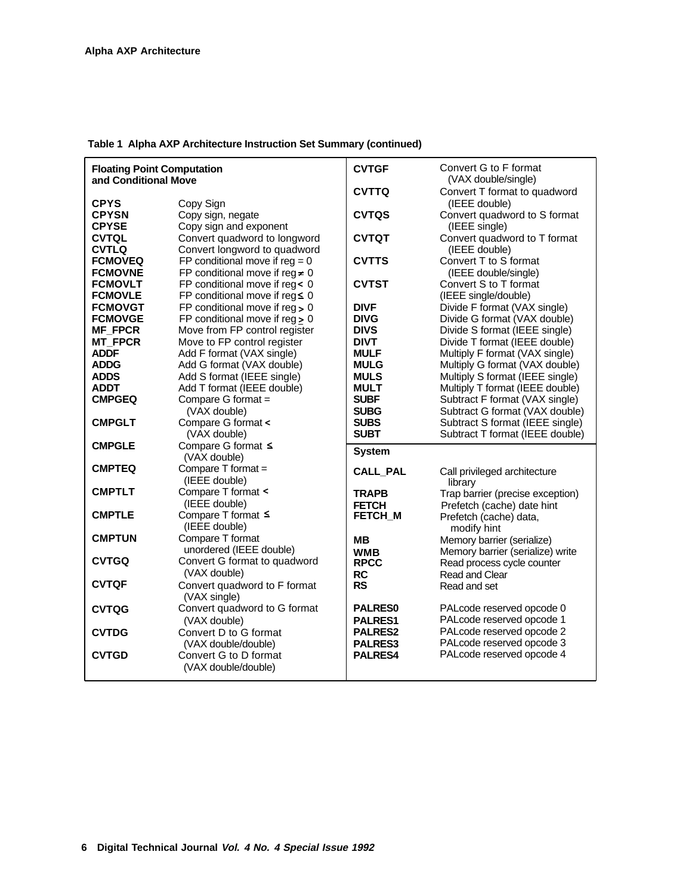| <b>Floating Point Computation</b><br>and Conditional Move |                                                                         | <b>CVTGF</b>                     | Convert G to F format<br>(VAX double/single)                       |
|-----------------------------------------------------------|-------------------------------------------------------------------------|----------------------------------|--------------------------------------------------------------------|
| <b>CPYS</b>                                               | Copy Sign                                                               | <b>CVTTQ</b>                     | Convert T format to quadword<br>(IEEE double)                      |
| <b>CPYSN</b>                                              | Copy sign, negate                                                       | <b>CVTQS</b>                     | Convert quadword to S format                                       |
| <b>CPYSE</b>                                              | Copy sign and exponent                                                  |                                  | (IEEE single)                                                      |
| <b>CVTQL</b><br><b>CVTLQ</b>                              | Convert quadword to longword<br>Convert longword to quadword            | <b>CVTQT</b>                     | Convert quadword to T format<br>(IEEE double)                      |
| <b>FCMOVEQ</b>                                            | FP conditional move if $reg = 0$                                        | <b>CVTTS</b>                     | Convert T to S format                                              |
| <b>FCMOVNE</b>                                            | FP conditional move if reg $\neq 0$                                     |                                  | (IEEE double/single)                                               |
| <b>FCMOVLT</b>                                            | FP conditional move if reg< 0                                           | <b>CVTST</b>                     | Convert S to T format                                              |
| <b>FCMOVLE</b><br><b>FCMOVGT</b>                          | FP conditional move if $reg \leq 0$<br>FP conditional move if $reg > 0$ | <b>DIVF</b>                      | (IEEE single/double)<br>Divide F format (VAX single)               |
| <b>FCMOVGE</b>                                            | FP conditional move if reg > 0                                          | <b>DIVG</b>                      | Divide G format (VAX double)                                       |
| <b>MF FPCR</b>                                            | Move from FP control register                                           | <b>DIVS</b>                      | Divide S format (IEEE single)                                      |
| <b>MT FPCR</b>                                            | Move to FP control register                                             | <b>DIVT</b>                      | Divide T format (IEEE double)                                      |
| <b>ADDF</b>                                               | Add F format (VAX single)                                               | <b>MULF</b>                      | Multiply F format (VAX single)                                     |
| <b>ADDG</b><br><b>ADDS</b>                                | Add G format (VAX double)<br>Add S format (IEEE single)                 | <b>MULG</b><br><b>MULS</b>       | Multiply G format (VAX double)<br>Multiply S format (IEEE single)  |
| <b>ADDT</b>                                               | Add T format (IEEE double)                                              | <b>MULT</b>                      | Multiply T format (IEEE double)                                    |
| <b>CMPGEQ</b>                                             | Compare G format =                                                      | <b>SUBF</b>                      | Subtract F format (VAX single)                                     |
|                                                           | (VAX double)                                                            | <b>SUBG</b>                      | Subtract G format (VAX double)                                     |
| <b>CMPGLT</b>                                             | Compare G format <<br>(VAX double)                                      | <b>SUBS</b><br><b>SUBT</b>       | Subtract S format (IEEE single)<br>Subtract T format (IEEE double) |
| <b>CMPGLE</b>                                             | Compare G format ≤                                                      |                                  |                                                                    |
|                                                           | (VAX double)                                                            | <b>System</b>                    |                                                                    |
| <b>CMPTEQ</b>                                             | Compare T format =                                                      | <b>CALL PAL</b>                  | Call privileged architecture                                       |
| <b>CMPTLT</b>                                             | (IEEE double)<br>Compare T format <                                     |                                  | library                                                            |
|                                                           | (IEEE double)                                                           | <b>TRAPB</b><br><b>FETCH</b>     | Trap barrier (precise exception)<br>Prefetch (cache) date hint     |
| <b>CMPTLE</b>                                             | Compare T format ≤                                                      | FETCH M                          | Prefetch (cache) data,                                             |
|                                                           | (IEEE double)                                                           |                                  | modify hint                                                        |
| <b>CMPTUN</b>                                             | Compare T format<br>unordered (IEEE double)                             | MВ                               | Memory barrier (serialize)                                         |
| <b>CVTGQ</b>                                              | Convert G format to quadword                                            | <b>WMB</b><br><b>RPCC</b>        | Memory barrier (serialize) write<br>Read process cycle counter     |
|                                                           | (VAX double)                                                            | RC                               | Read and Clear                                                     |
| <b>CVTQF</b>                                              | Convert quadword to F format<br>(VAX single)                            | <b>RS</b>                        | Read and set                                                       |
| <b>CVTQG</b>                                              | Convert quadword to G format                                            | <b>PALRES0</b>                   | PALcode reserved opcode 0                                          |
|                                                           | (VAX double)                                                            | <b>PALRES1</b>                   | PALcode reserved opcode 1                                          |
| <b>CVTDG</b>                                              | Convert D to G format<br>(VAX double/double)                            | <b>PALRES2</b><br><b>PALRES3</b> | PALcode reserved opcode 2<br>PALcode reserved opcode 3             |
| <b>CVTGD</b>                                              | Convert G to D format                                                   | PALRES4                          | PALcode reserved opcode 4                                          |
|                                                           | (VAX double/double)                                                     |                                  |                                                                    |

# **Table 1 Alpha AXP Architecture Instruction Set Summary (continued)**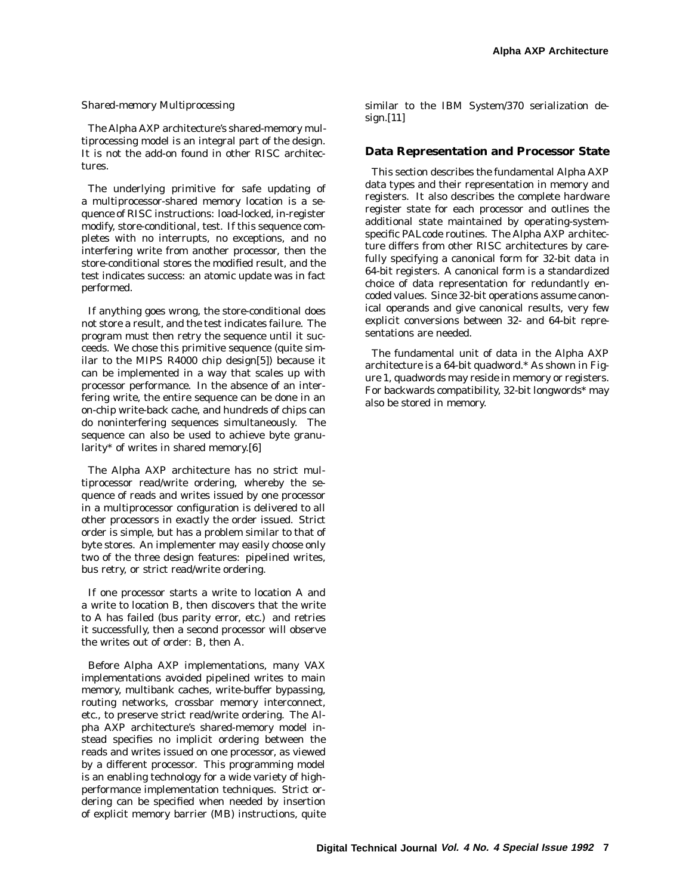#### *Shared-memory Multiprocessing*

The Alpha AXP architecture's shared-memory multiprocessing model is an integral part of the design. It is not the add-on found in other RISC architectures.

The underlying primitive for safe updating of a multiprocessor-shared memory location is a sequence of RISC instructions: load-locked, in-register modify, store-conditional, test. If this sequence completes with no interrupts, no exceptions, and no interfering write from another processor, then the store-conditional stores the modified result, and the test indicates success: an atomic update was in fact performed.

If anything goes wrong, the store-conditional does not store a result, and the test indicates failure. The program must then retry the sequence until it succeeds. We chose this primitive sequence (quite similar to the MIPS R4000 chip design[5]) because it can be implemented in a way that scales up with processor performance. In the absence of an interfering write, the entire sequence can be done in an on-chip write-back cache, and hundreds of chips can do noninterfering sequences simultaneously. The sequence can also be used to achieve byte granularity\* of writes in shared memory.[6]

The Alpha AXP architecture has no strict multiprocessor read/write ordering, whereby the sequence of reads and writes issued by one processor in a multiprocessor configuration is delivered to all other processors in exactly the order issued. Strict order is simple, but has a problem similar to that of byte stores. An implementer may easily choose only two of the three design features: pipelined writes, bus retry, or strict read/write ordering.

If one processor starts a write to location A and a write to location B, then discovers that the write to A has failed (bus parity error, etc.) and retries it successfully, then a second processor will observe the writes out of order: B, then A.

Before Alpha AXP implementations, many VAX implementations avoided pipelined writes to main memory, multibank caches, write-buffer bypassing, routing networks, crossbar memory interconnect, etc., to preserve strict read/write ordering. The Alpha AXP architecture's shared-memory model instead specifies no implicit ordering between the reads and writes issued on one processor, as viewed by a different processor. This programming model is an enabling technology for a wide variety of highperformance implementation techniques. Strict ordering can be specified when needed by insertion of explicit memory barrier (MB) instructions, quite

similar to the IBM System/370 serialization design.[11]

#### **Data Representation and Processor State**

This section describes the fundamental Alpha AXP data types and their representation in memory and registers. It also describes the complete hardware register state for each processor and outlines the additional state maintained by operating-systemspecific PALcode routines. The Alpha AXP architecture differs from other RISC architectures by carefully specifying a canonical form for 32-bit data in 64-bit registers. A canonical form is a standardized choice of data representation for redundantly encoded values. Since 32-bit operations assume canonical operands and give canonical results, very few explicit conversions between 32- and 64-bit representations are needed.

The fundamental unit of data in the Alpha AXP architecture is a 64-bit quadword.\* As shown in Figure 1, quadwords may reside in memory or registers. For backwards compatibility, 32-bit longwords\* may also be stored in memory.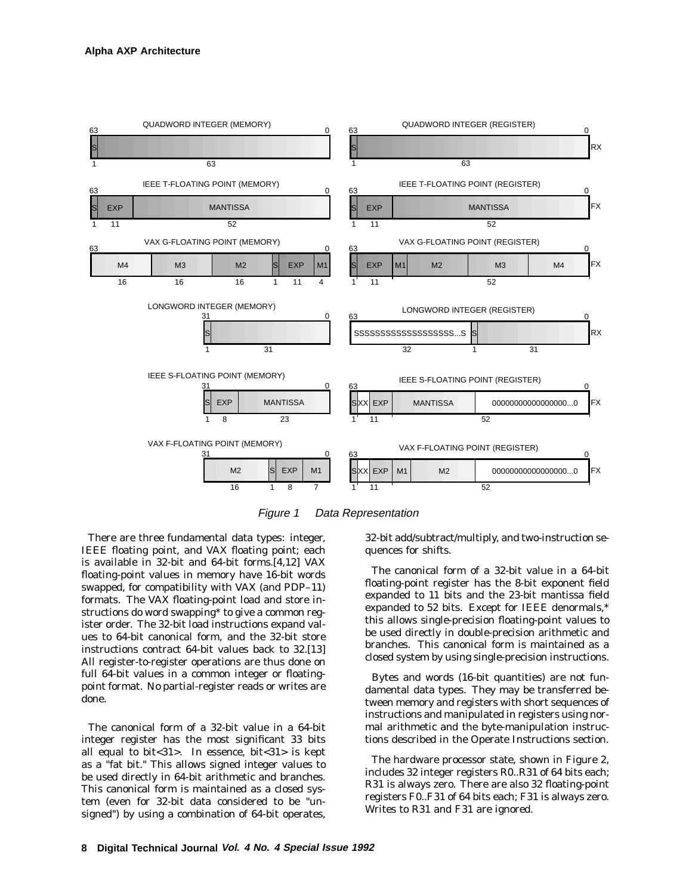

Figure 1 Data Representation

There are three fundamental data types: integer, IEEE floating point, and VAX floating point; each is available in 32-bit and 64-bit forms.[4,12] VAX floating-point values in memory have 16-bit words swapped, for compatibility with VAX (and PDP–11) formats. The VAX floating-point load and store instructions do word swapping\* to give a common register order. The 32-bit load instructions expand values to 64-bit canonical form, and the 32-bit store instructions contract 64-bit values back to 32.[13] All register-to-register operations are thus done on full 64-bit values in a common integer or floatingpoint format. No partial-register reads or writes are done.

The canonical form of a 32-bit value in a 64-bit integer register has the most significant 33 bits all equal to bit<31>. In essence, bit<31> is kept as a "fat bit." This allows signed integer values to be used directly in 64-bit arithmetic and branches. This canonical form is maintained as a closed system (even for 32-bit data considered to be "unsigned") by using a combination of 64-bit operates,

32-bit add/subtract/multiply, and two-instruction sequences for shifts.

The canonical form of a 32-bit value in a 64-bit floating-point register has the 8-bit exponent field expanded to 11 bits and the 23-bit mantissa field expanded to 52 bits. Except for IEEE denormals,\* this allows single-precision floating-point values to be used directly in double-precision arithmetic and branches. This canonical form is maintained as a closed system by using single-precision instructions.

Bytes and words (16-bit quantities) are not fundamental data types. They may be transferred between memory and registers with short sequences of instructions and manipulated in registers using normal arithmetic and the byte-manipulation instructions described in the Operate Instructions section.

The hardware processor state, shown in Figure 2, includes 32 integer registers R0..R31 of 64 bits each; R31 is always zero. There are also 32 floating-point registers F0..F31 of 64 bits each; F31 is always zero. Writes to R31 and F31 are ignored.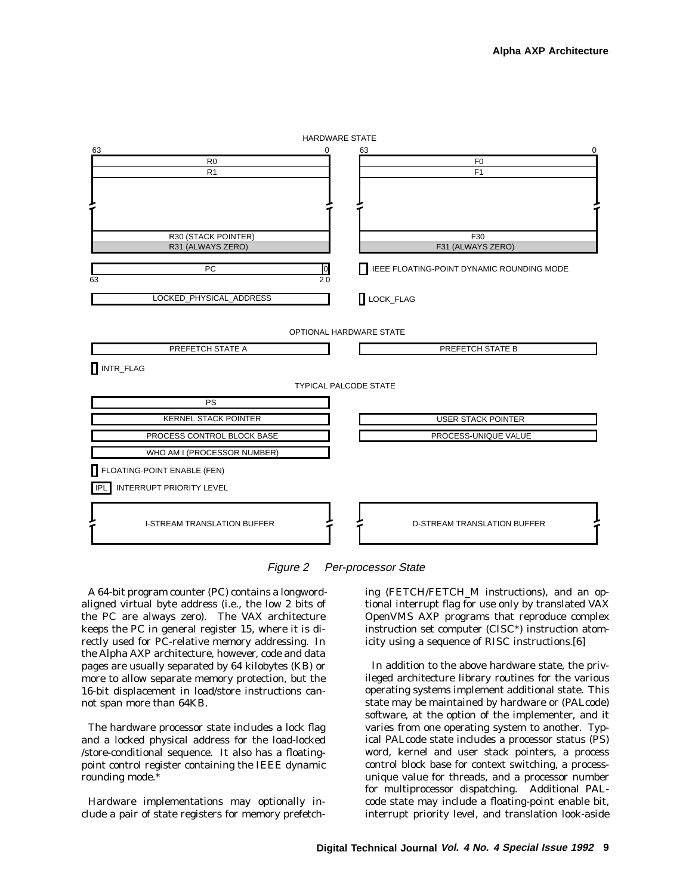



A 64-bit program counter (PC) contains a longwordaligned virtual byte address (i.e., the low 2 bits of the PC are always zero). The VAX architecture keeps the PC in general register 15, where it is directly used for PC-relative memory addressing. In the Alpha AXP architecture, however, code and data pages are usually separated by 64 kilobytes (KB) or more to allow separate memory protection, but the 16-bit displacement in load/store instructions cannot span more than 64KB.

The hardware processor state includes a lock flag and a locked physical address for the load-locked /store-conditional sequence. It also has a floatingpoint control register containing the IEEE dynamic rounding mode.\*

Hardware implementations may optionally include a pair of state registers for memory prefetching (FETCH/FETCH\_M instructions), and an optional interrupt flag for use only by translated VAX OpenVMS AXP programs that reproduce complex instruction set computer (CISC\*) instruction atomicity using a sequence of RISC instructions.[6]

In addition to the above hardware state, the privileged architecture library routines for the various operating systems implement additional state. This state may be maintained by hardware or (PALcode) software, at the option of the implementer, and it varies from one operating system to another. Typical PALcode state includes a processor status (PS) word, kernel and user stack pointers, a process control block base for context switching, a processunique value for threads, and a processor number for multiprocessor dispatching. Additional PALcode state may include a floating-point enable bit, interrupt priority level, and translation look-aside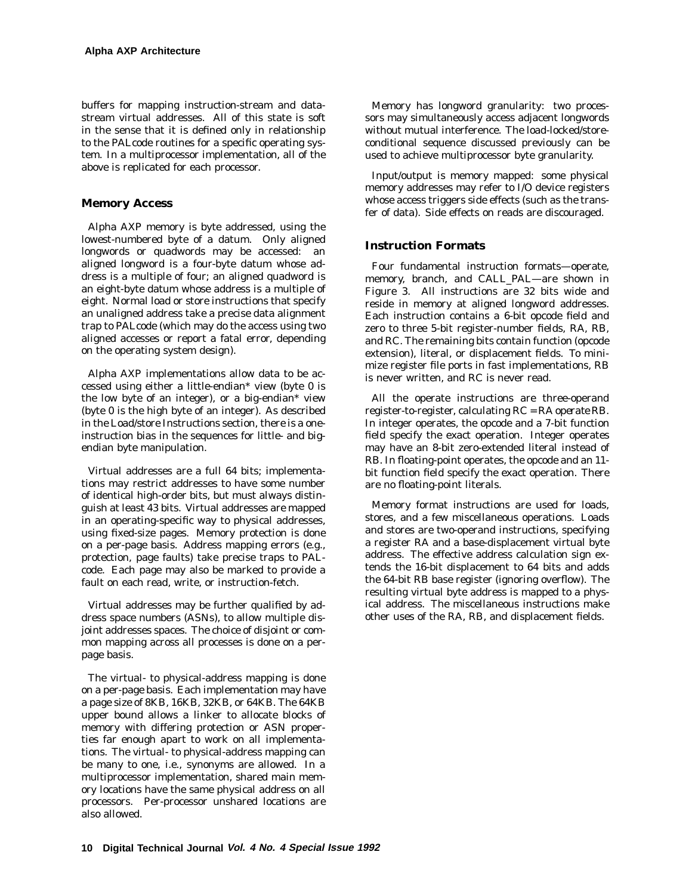buffers for mapping instruction-stream and datastream virtual addresses. All of this state is soft in the sense that it is defined only in relationship to the PALcode routines for a specific operating system. In a multiprocessor implementation, all of the above is replicated for each processor.

#### **Memory Access**

Alpha AXP memory is byte addressed, using the lowest-numbered byte of a datum. Only aligned longwords or quadwords may be accessed: an aligned longword is a four-byte datum whose address is a multiple of four; an aligned quadword is an eight-byte datum whose address is a multiple of eight. Normal load or store instructions that specify an unaligned address take a precise data alignment trap to PALcode (which may do the access using two aligned accesses or report a fatal error, depending on the operating system design).

Alpha AXP implementations allow data to be accessed using either a little-endian\* view (byte 0 is the low byte of an integer), or a big-endian\* view (byte 0 is the high byte of an integer). As described in the Load/store Instructions section, there is a oneinstruction bias in the sequences for little- and bigendian byte manipulation.

Virtual addresses are a full 64 bits; implementations may restrict addresses to have some number of identical high-order bits, but must always distinguish at least 43 bits. Virtual addresses are mapped in an operating-specific way to physical addresses, using fixed-size pages. Memory protection is done on a per-page basis. Address mapping errors (e.g., protection, page faults) take precise traps to PALcode. Each page may also be marked to provide a fault on each read, write, or instruction-fetch.

Virtual addresses may be further qualified by address space numbers (ASNs), to allow multiple disjoint addresses spaces. The choice of disjoint or common mapping across all processes is done on a perpage basis.

The virtual- to physical-address mapping is done on a per-page basis. Each implementation may have a page size of 8KB, 16KB, 32KB, or 64KB. The 64KB upper bound allows a linker to allocate blocks of memory with differing protection or ASN properties far enough apart to work on all implementations. The virtual- to physical-address mapping can be many to one, i.e., synonyms are allowed. In a multiprocessor implementation, shared main memory locations have the same physical address on all processors. Per-processor unshared locations are also allowed.

Memory has longword granularity: two processors may simultaneously access adjacent longwords without mutual interference. The load-locked/storeconditional sequence discussed previously can be used to achieve multiprocessor byte granularity.

Input/output is memory mapped: some physical memory addresses may refer to I/O device registers whose access triggers side effects (such as the transfer of data). Side effects on reads are discouraged.

## **Instruction Formats**

Four fundamental instruction formats—operate, memory, branch, and CALL\_PAL—are shown in Figure 3. All instructions are 32 bits wide and reside in memory at aligned longword addresses. Each instruction contains a 6-bit opcode field and zero to three 5-bit register-number fields, RA, RB, and RC. The remaining bits contain function (opcode extension), literal, or displacement fields. To minimize register file ports in fast implementations, RB is never written, and RC is never read.

All the operate instructions are three-operand register-to-register, calculating *RC = RA operate RB*. In integer operates, the opcode and a 7-bit function field specify the exact operation. Integer operates may have an 8-bit zero-extended literal instead of RB. In floating-point operates, the opcode and an 11 bit function field specify the exact operation. There are no floating-point literals.

Memory format instructions are used for loads, stores, and a few miscellaneous operations. Loads and stores are two-operand instructions, specifying a register RA and a base-displacement virtual byte address. The effective address calculation sign extends the 16-bit displacement to 64 bits and adds the 64-bit RB base register (ignoring overflow). The resulting virtual byte address is mapped to a physical address. The miscellaneous instructions make other uses of the RA, RB, and displacement fields.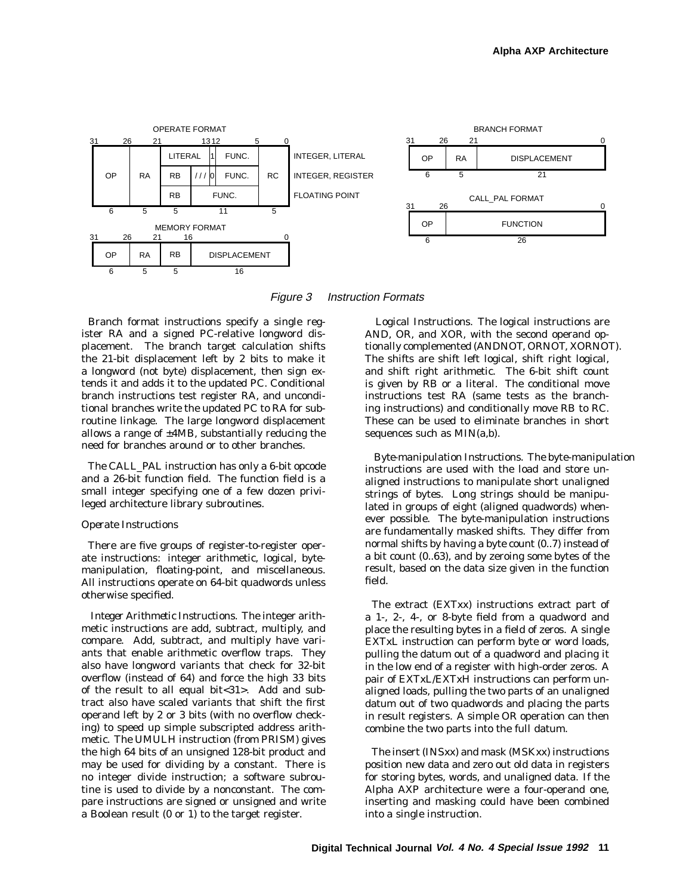

Figure 3 Instruction Formats

Branch format instructions specify a single register RA and a signed PC-relative longword displacement. The branch target calculation shifts the 21-bit displacement left by 2 bits to make it a longword (not byte) displacement, then sign extends it and adds it to the updated PC. Conditional branch instructions test register RA, and unconditional branches write the updated PC to RA for subroutine linkage. The large longword displacement allows a range of  $\pm$ 4MB, substantially reducing the need for branches around or to other branches.

The CALL\_PAL instruction has only a 6-bit opcode and a 26-bit function field. The function field is a small integer specifying one of a few dozen privileged architecture library subroutines.

#### *Operate Instructions*

There are five groups of register-to-register operate instructions: integer arithmetic, logical, bytemanipulation, floating-point, and miscellaneous. All instructions operate on 64-bit quadwords unless otherwise specified.

*Integer Arithmetic Instructions.* The integer arithmetic instructions are add, subtract, multiply, and compare. Add, subtract, and multiply have variants that enable arithmetic overflow traps. They also have longword variants that check for 32-bit overflow (instead of 64) and force the high 33 bits of the result to all equal bit<31>. Add and subtract also have scaled variants that shift the first operand left by 2 or 3 bits (with no overflow checking) to speed up simple subscripted address arithmetic. The UMULH instruction (from PRISM) gives the high 64 bits of an unsigned 128-bit product and may be used for dividing by a constant. There is no integer divide instruction; a software subroutine is used to divide by a nonconstant. The compare instructions are signed or unsigned and write a Boolean result (0 or 1) to the target register.

*Logical Instructions.* The logical instructions are AND, OR, and XOR, with the second operand optionally complemented (ANDNOT, ORNOT, XORNOT). The shifts are shift left logical, shift right logical, and shift right arithmetic. The 6-bit shift count is given by RB or a literal. The conditional move instructions test RA (same tests as the branching instructions) and conditionally move RB to RC. These can be used to eliminate branches in short sequences such as MIN(a,b).

*Byte-manipulation Instructions.* The byte-manipulation instructions are used with the load and store unaligned instructions to manipulate short unaligned strings of bytes. Long strings should be manipulated in groups of eight (aligned quadwords) whenever possible. The byte-manipulation instructions are fundamentally masked shifts. They differ from normal shifts by having a byte count (0..7) instead of a bit count (0..63), and by zeroing some bytes of the result, based on the data size given in the function field.

The extract (EXTxx) instructions extract part of a 1-, 2-, 4-, or 8-byte field from a quadword and place the resulting bytes in a field of zeros. A single EXTxL instruction can perform byte or word loads, pulling the datum out of a quadword and placing it in the low end of a register with high-order zeros. A pair of EXTxL/EXTxH instructions can perform unaligned loads, pulling the two parts of an unaligned datum out of two quadwords and placing the parts in result registers. A simple OR operation can then combine the two parts into the full datum.

The insert (INSxx) and mask (MSKxx) instructions position new data and zero out old data in registers for storing bytes, words, and unaligned data. If the Alpha AXP architecture were a four-operand one, inserting and masking could have been combined into a single instruction.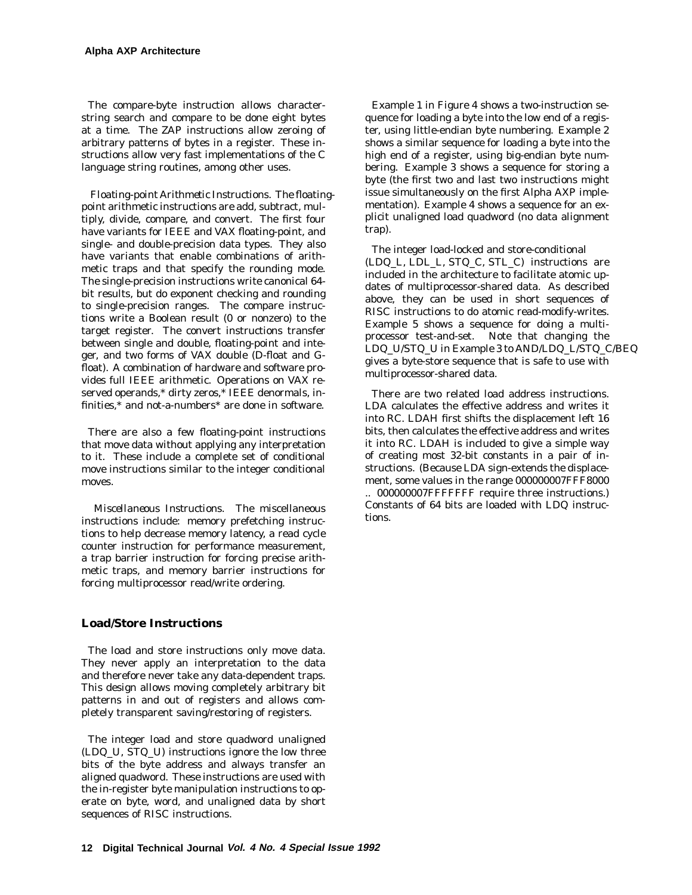The compare-byte instruction allows characterstring search and compare to be done eight bytes at a time. The ZAP instructions allow zeroing of arbitrary patterns of bytes in a register. These instructions allow very fast implementations of the C language string routines, among other uses.

*Floating-point Arithmetic Instructions.* The floatingpoint arithmetic instructions are add, subtract, multiply, divide, compare, and convert. The first four have variants for IEEE and VAX floating-point, and single- and double-precision data types. They also have variants that enable combinations of arithmetic traps and that specify the rounding mode. The single-precision instructions write canonical 64 bit results, but do exponent checking and rounding to single-precision ranges. The compare instructions write a Boolean result (0 or nonzero) to the target register. The convert instructions transfer between single and double, floating-point and integer, and two forms of VAX double (D-float and Gfloat). A combination of hardware and software provides full IEEE arithmetic. Operations on VAX reserved operands,\* dirty zeros,\* IEEE denormals, infinities,\* and not-a-numbers\* are done in software.

There are also a few floating-point instructions that move data without applying any interpretation to it. These include a complete set of conditional move instructions similar to the integer conditional moves.

*Miscellaneous Instructions.* The miscellaneous instructions include: memory prefetching instructions to help decrease memory latency, a read cycle counter instruction for performance measurement, a trap barrier instruction for forcing precise arithmetic traps, and memory barrier instructions for forcing multiprocessor read/write ordering.

# **Load/Store Instructions**

The load and store instructions only move data. They never apply an interpretation to the data and therefore never take any data-dependent traps. This design allows moving completely arbitrary bit patterns in and out of registers and allows completely transparent saving/restoring of registers.

The integer load and store quadword unaligned (LDQ\_U, STQ\_U) instructions ignore the low three bits of the byte address and always transfer an aligned quadword. These instructions are used with the in-register byte manipulation instructions to operate on byte, word, and unaligned data by short sequences of RISC instructions.

Example 1 in Figure 4 shows a two-instruction sequence for loading a byte into the low end of a register, using little-endian byte numbering. Example 2 shows a similar sequence for loading a byte into the high end of a register, using big-endian byte numbering. Example 3 shows a sequence for storing a byte (the first two and last two instructions might issue simultaneously on the first Alpha AXP implementation). Example 4 shows a sequence for an explicit unaligned load quadword (no data alignment trap).

The integer load-locked and store-conditional (LDQ\_L, LDL\_L, STQ\_C, STL\_C) instructions are included in the architecture to facilitate atomic updates of multiprocessor-shared data. As described above, they can be used in short sequences of RISC instructions to do atomic read-modify-writes. Example 5 shows a sequence for doing a multiprocessor test-and-set. Note that changing the LDQ\_U/STQ\_U in Example 3 to AND/LDQ\_L/STQ\_C/BEQ gives a byte-store sequence that is safe to use with multiprocessor-shared data.

There are two related load address instructions. LDA calculates the effective address and writes it into RC. LDAH first shifts the displacement left 16 bits, then calculates the effective address and writes it into RC. LDAH is included to give a simple way of creating most 32-bit constants in a pair of instructions. (Because LDA sign-extends the displacement, some values in the range 000000007FFF8000

.. 000000007FFFFFFF require three instructions.) Constants of 64 bits are loaded with LDQ instructions.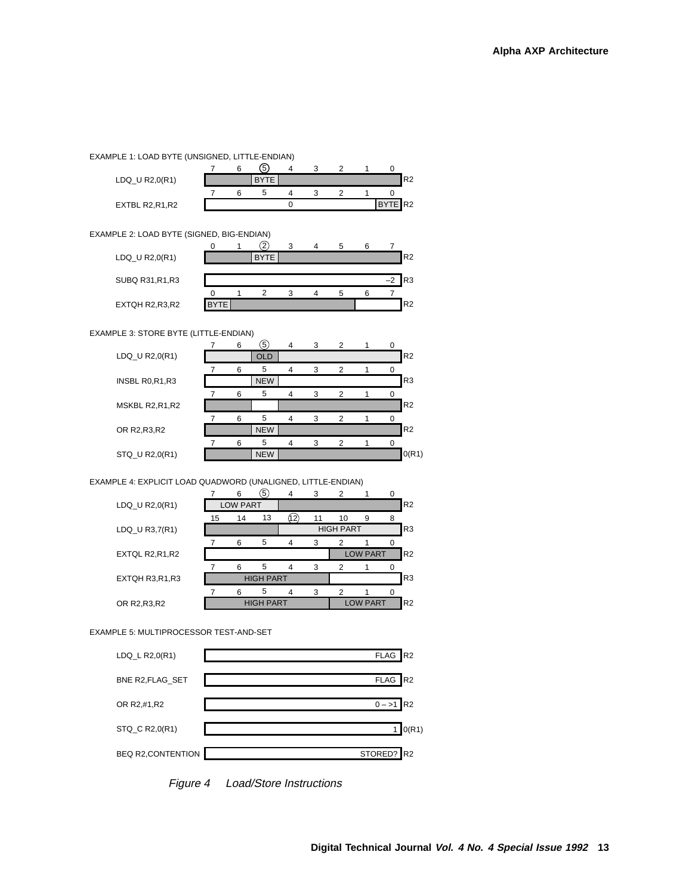#### EXAMPLE 1: LOAD BYTE (UNSIGNED, LITTLE-ENDIAN)

|                  |  | 5           |  |  |         |                |
|------------------|--|-------------|--|--|---------|----------------|
| $LDQ_U R2,0(R1)$ |  | <b>BYTE</b> |  |  |         | R <sub>2</sub> |
|                  |  |             |  |  |         |                |
| EXTBL R2, R1, R2 |  |             |  |  | BYTE R2 |                |

EXAMPLE 2: LOAD BYTE (SIGNED, BIG-ENDIAN)

|                  |    |             | з | 5. |         |                |
|------------------|----|-------------|---|----|---------|----------------|
| LDQ_U R2,0(R1)   |    | <b>BYTE</b> |   |    |         | R <sub>2</sub> |
|                  |    |             |   |    |         |                |
| SUBQ R31, R1, R3 |    |             |   |    | $^{-2}$ | R3             |
|                  |    |             |   | .h |         |                |
| EXTQH R2,R3,R2   | TE |             |   |    |         | R <sub>2</sub> |

EXAMPLE 3: STORE BYTE (LITTLE-ENDIAN)

|                | 6 | 5.         | $\overline{4}$ | 3 | $\overline{2}$ |  |                |
|----------------|---|------------|----------------|---|----------------|--|----------------|
| LDQ_U R2,0(R1) |   | <b>OLD</b> |                |   |                |  | R <sub>2</sub> |
|                | 6 | 5          |                | 3 | $\overline{2}$ |  |                |
| INSBL R0,R1,R3 |   | <b>NEW</b> |                |   |                |  | R <sub>3</sub> |
|                | 6 | 5          |                | 3 | $\overline{2}$ |  |                |
| MSKBL R2,R1,R2 |   |            |                |   |                |  | R <sub>2</sub> |
|                | 6 | 5          |                | 3 | $\overline{2}$ |  |                |
| OR R2, R3, R2  |   | <b>NEW</b> |                |   |                |  | R2             |
|                | 6 | 5          |                | 3 | $\overline{2}$ |  |                |
| STQ_U R2,0(R1) |   | <b>NEW</b> |                |   |                |  | O(R1)          |

#### EXAMPLE 4: EXPLICIT LOAD QUADWORD (UNALIGNED, LITTLE-ENDIAN)

|                  |                  | 6  | $\left(5\right)$ | 4   | 3  | $\overline{2}$   |                 |   |                |
|------------------|------------------|----|------------------|-----|----|------------------|-----------------|---|----------------|
| $LDQ_U R2,0(R1)$ | <b>LOW PART</b>  |    |                  |     |    |                  |                 |   | R <sub>2</sub> |
|                  | 15               | 14 | 13               | 12. | 11 | 10               | 9               | 8 |                |
| LDQ_U R3,7(R1)   |                  |    |                  |     |    | <b>HIGH PART</b> |                 |   |                |
|                  |                  | 6  | 5                | 4   | 3  | $\overline{2}$   |                 |   |                |
| EXTQL R2, R1, R2 |                  |    |                  |     |    |                  | <b>LOW PART</b> |   |                |
|                  |                  | 6  | 5                | 4   | 3  | 2                |                 |   |                |
| EXTQH R3,R1,R3   | <b>HIGH PART</b> |    |                  |     |    |                  |                 |   | R <sub>3</sub> |
|                  |                  | 6  | 5                | 4   | 3  | $\overline{2}$   |                 |   |                |
| OR R2, R3, R2    |                  |    | <b>HIGH PART</b> |     |    | <b>LOW PART</b>  |                 |   |                |
|                  |                  |    |                  |     |    |                  |                 |   |                |

EXAMPLE 5: MULTIPROCESSOR TEST-AND-SET



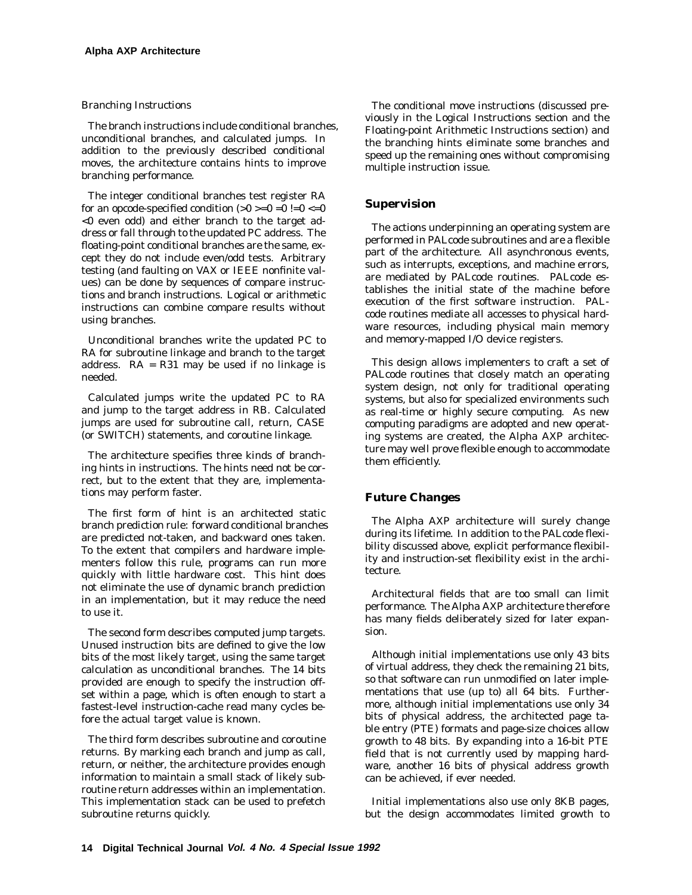## *Branching Instructions*

The branch instructions include conditional branches, unconditional branches, and calculated jumps. In addition to the previously described conditional moves, the architecture contains hints to improve branching performance.

The integer conditional branches test register RA for an opcode-specified condition  $(0 >0 =0 =0 |=0 <0$ <0 even odd) and either branch to the target address or fall through to the updated PC address. The floating-point conditional branches are the same, except they do not include even/odd tests. Arbitrary testing (and faulting on VAX or IEEE nonfinite values) can be done by sequences of compare instructions and branch instructions. Logical or arithmetic instructions can combine compare results without using branches.

Unconditional branches write the updated PC to RA for subroutine linkage and branch to the target address.  $RA = R31$  may be used if no linkage is needed.

Calculated jumps write the updated PC to RA and jump to the target address in RB. Calculated jumps are used for subroutine call, return, CASE (or SWITCH) statements, and coroutine linkage.

The architecture specifies three kinds of branching hints in instructions. The hints need not be correct, but to the extent that they are, implementations may perform faster.

The first form of hint is an architected static branch prediction rule: forward conditional branches are predicted not-taken, and backward ones taken. To the extent that compilers and hardware implementers follow this rule, programs can run more quickly with little hardware cost. This hint does not eliminate the use of dynamic branch prediction in an implementation, but it may reduce the need to use it.

The second form describes computed jump targets. Unused instruction bits are defined to give the low bits of the most likely target, using the same target calculation as unconditional branches. The 14 bits provided are enough to specify the instruction offset within a page, which is often enough to start a fastest-level instruction-cache read many cycles before the actual target value is known.

The third form describes subroutine and coroutine returns. By marking each branch and jump as call, return, or neither, the architecture provides enough information to maintain a small stack of likely subroutine return addresses within an implementation. This implementation stack can be used to prefetch subroutine returns quickly.

The conditional move instructions (discussed previously in the Logical Instructions section and the Floating-point Arithmetic Instructions section) and the branching hints eliminate some branches and speed up the remaining ones without compromising multiple instruction issue.

## **Supervision**

The actions underpinning an operating system are performed in PALcode subroutines and are a flexible part of the architecture. All asynchronous events, such as interrupts, exceptions, and machine errors, are mediated by PALcode routines. PALcode establishes the initial state of the machine before execution of the first software instruction. PALcode routines mediate all accesses to physical hardware resources, including physical main memory and memory-mapped I/O device registers.

This design allows implementers to craft a set of PALcode routines that closely match an operating system design, not only for traditional operating systems, but also for specialized environments such as real-time or highly secure computing. As new computing paradigms are adopted and new operating systems are created, the Alpha AXP architecture may well prove flexible enough to accommodate them efficiently.

# **Future Changes**

The Alpha AXP architecture will surely change during its lifetime. In addition to the PALcode flexibility discussed above, explicit performance flexibility and instruction-set flexibility exist in the architecture.

Architectural fields that are too small can limit performance. The Alpha AXP architecture therefore has many fields deliberately sized for later expansion.

Although initial implementations use only 43 bits of virtual address, they check the remaining 21 bits, so that software can run unmodified on later implementations that use (up to) all 64 bits. Furthermore, although initial implementations use only 34 bits of physical address, the architected page table entry (PTE) formats and page-size choices allow growth to 48 bits. By expanding into a 16-bit PTE field that is not currently used by mapping hardware, another 16 bits of physical address growth can be achieved, if ever needed.

Initial implementations also use only 8KB pages, but the design accommodates limited growth to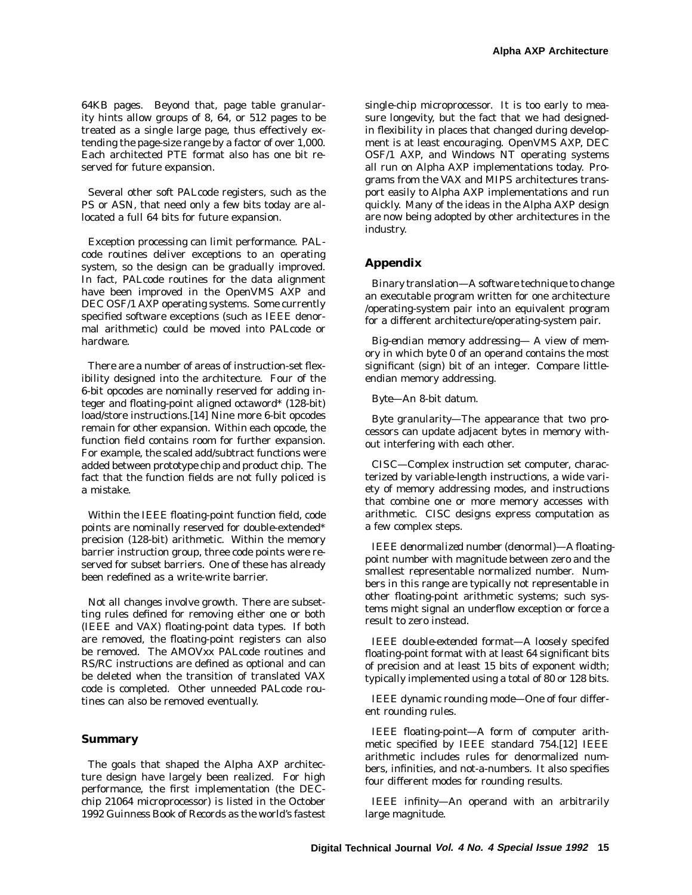64KB pages. Beyond that, page table granularity hints allow groups of 8, 64, or 512 pages to be treated as a single large page, thus effectively extending the page-size range by a factor of over 1,000. Each architected PTE format also has one bit reserved for future expansion.

Several other soft PALcode registers, such as the PS or ASN, that need only a few bits today are allocated a full 64 bits for future expansion.

Exception processing can limit performance. PALcode routines deliver exceptions to an operating system, so the design can be gradually improved. In fact, PALcode routines for the data alignment have been improved in the OpenVMS AXP and DEC OSF/1 AXP operating systems. Some currently specified software exceptions (such as IEEE denormal arithmetic) could be moved into PALcode or hardware.

There are a number of areas of instruction-set flexibility designed into the architecture. Four of the 6-bit opcodes are nominally reserved for adding integer and floating-point aligned octaword\* (128-bit) load/store instructions.[14] Nine more 6-bit opcodes remain for other expansion. Within each opcode, the function field contains room for further expansion. For example, the scaled add/subtract functions were added between prototype chip and product chip. The fact that the function fields are not fully policed is a mistake.

Within the IEEE floating-point function field, code points are nominally reserved for double-extended\* precision (128-bit) arithmetic. Within the memory barrier instruction group, three code points were reserved for subset barriers. One of these has already been redefined as a write-write barrier.

Not all changes involve growth. There are subsetting rules defined for removing either one or both (IEEE and VAX) floating-point data types. If both are removed, the floating-point registers can also be removed. The AMOVxx PALcode routines and RS/RC instructions are defined as optional and can be deleted when the transition of translated VAX code is completed. Other unneeded PALcode routines can also be removed eventually.

## **Summary**

The goals that shaped the Alpha AXP architecture design have largely been realized. For high performance, the first implementation (the DECchip 21064 microprocessor) is listed in the October 1992 *Guinness Book of Records* as the world's fastest single-chip microprocessor. It is too early to measure longevity, but the fact that we had designedin flexibility in places that changed during development is at least encouraging. OpenVMS AXP, DEC OSF/1 AXP, and Windows NT operating systems all run on Alpha AXP implementations today. Programs from the VAX and MIPS architectures transport easily to Alpha AXP implementations and run quickly. Many of the ideas in the Alpha AXP design are now being adopted by other architectures in the industry.

#### **Appendix**

*Binary translation*—A software technique to change an executable program written for one architecture /operating-system pair into an equivalent program for a different architecture/operating-system pair.

*Big-endian memory addressing*— A view of memory in which byte 0 of an operand contains the most significant (sign) bit of an integer. Compare littleendian memory addressing.

*Byte*—An 8-bit datum.

*Byte granularity*—The appearance that two processors can update adjacent bytes in memory without interfering with each other.

*CISC*—Complex instruction set computer, characterized by variable-length instructions, a wide variety of memory addressing modes, and instructions that combine one or more memory accesses with arithmetic. CISC designs express computation as a few complex steps.

*IEEE denormalized number (denormal)*—A floatingpoint number with magnitude between zero and the smallest representable normalized number. Numbers in this range are typically not representable in other floating-point arithmetic systems; such systems might signal an underflow exception or force a result to zero instead.

*IEEE double-extended format*—A loosely specifed floating-point format with at least 64 significant bits of precision and at least 15 bits of exponent width; typically implemented using a total of 80 or 128 bits.

*IEEE dynamic rounding mode*—One of four different rounding rules.

*IEEE floating-point*—A form of computer arithmetic specified by IEEE standard 754.[12] IEEE arithmetic includes rules for denormalized numbers, infinities, and not-a-numbers. It also specifies four different modes for rounding results.

*IEEE infinity*—An operand with an arbitrarily large magnitude.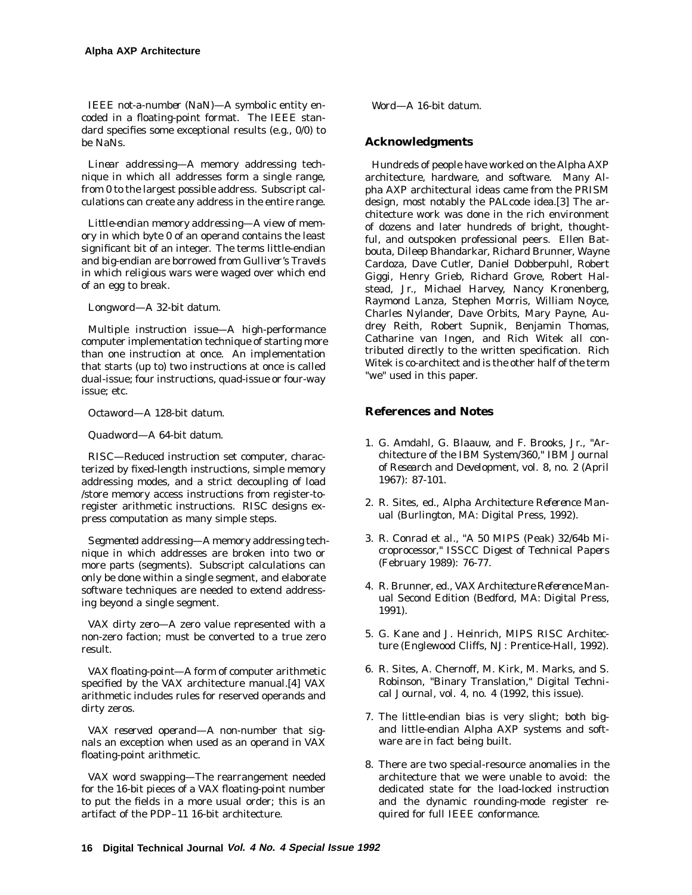*IEEE not-a-number (NaN)*—A symbolic entity encoded in a floating-point format. The IEEE standard specifies some exceptional results (e.g., 0/0) to be NaNs.

*Linear addressing*—A memory addressing technique in which all addresses form a single range, from 0 to the largest possible address. Subscript calculations can create any address in the entire range.

*Little-endian memory addressing*—A view of memory in which byte 0 of an operand contains the least significant bit of an integer. The terms little-endian and big-endian are borrowed from *Gulliver's Travels* in which religious wars were waged over which end of an egg to break.

*Longword*—A 32-bit datum.

*Multiple instruction issue*—A high-performance computer implementation technique of starting more than one instruction at once. An implementation that starts (up to) two instructions at once is called dual-issue; four instructions, quad-issue or four-way issue; etc.

*Octaword*—A 128-bit datum.

*Quadword*—A 64-bit datum.

*RISC*—Reduced instruction set computer, characterized by fixed-length instructions, simple memory addressing modes, and a strict decoupling of load /store memory access instructions from register-toregister arithmetic instructions. RISC designs express computation as many simple steps.

*Segmented addressing*—A memory addressing technique in which addresses are broken into two or more parts (segments). Subscript calculations can only be done within a single segment, and elaborate software techniques are needed to extend addressing beyond a single segment.

*VAX dirty zero*—A zero value represented with a non-zero faction; must be converted to a true zero result.

*VAX floating-point*—A form of computer arithmetic specified by the VAX architecture manual.[4] VAX arithmetic includes rules for reserved operands and dirty zeros.

*VAX reserved operand*—A non-number that signals an exception when used as an operand in VAX floating-point arithmetic.

*VAX word swapping*—The rearrangement needed for the 16-bit pieces of a VAX floating-point number to put the fields in a more usual order; this is an artifact of the PDP–11 16-bit architecture.

*Word*—A 16-bit datum.

# **Acknowledgments**

Hundreds of people have worked on the Alpha AXP architecture, hardware, and software. Many Alpha AXP architectural ideas came from the PRISM design, most notably the PALcode idea.[3] The architecture work was done in the rich environment of dozens and later hundreds of bright, thoughtful, and outspoken professional peers. Ellen Batbouta, Dileep Bhandarkar, Richard Brunner, Wayne Cardoza, Dave Cutler, Daniel Dobberpuhl, Robert Giggi, Henry Grieb, Richard Grove, Robert Halstead, Jr., Michael Harvey, Nancy Kronenberg, Raymond Lanza, Stephen Morris, William Noyce, Charles Nylander, Dave Orbits, Mary Payne, Audrey Reith, Robert Supnik, Benjamin Thomas, Catharine van Ingen, and Rich Witek all contributed directly to the written specification. Rich Witek is co-architect and is the other half of the term "we" used in this paper.

## **References and Notes**

- 1. G. Amdahl, G. Blaauw, and F. Brooks, Jr., "Architecture of the IBM System/360," *IBM Journal of Research and Development,* vol. 8, no. 2 (April 1967): 87-101.
- 2. R. Sites, ed., *Alpha Architecture Reference Manual* (Burlington, MA: Digital Press, 1992).
- 3. R. Conrad et al., "A 50 MIPS (Peak) 32/64b Microprocessor," *ISSCC Digest of Technical Papers* (February 1989): 76-77.
- 4. R. Brunner, ed., *VAX Architecture Reference Manual* Second Edition (Bedford, MA: Digital Press, 1991).
- 5. G. Kane and J. Heinrich, *MIPS RISC Architecture* (Englewood Cliffs, NJ: Prentice-Hall, 1992).
- 6. R. Sites, A. Chernoff, M. Kirk, M. Marks, and S. Robinson, "Binary Translation," *Digital Technical Journal*, vol. 4, no. 4 (1992, this issue).
- 7. The little-endian bias is very slight; both bigand little-endian Alpha AXP systems and software are in fact being built.
- 8. There are two special-resource anomalies in the architecture that we were unable to avoid: the dedicated state for the load-locked instruction and the dynamic rounding-mode register required for full IEEE conformance.